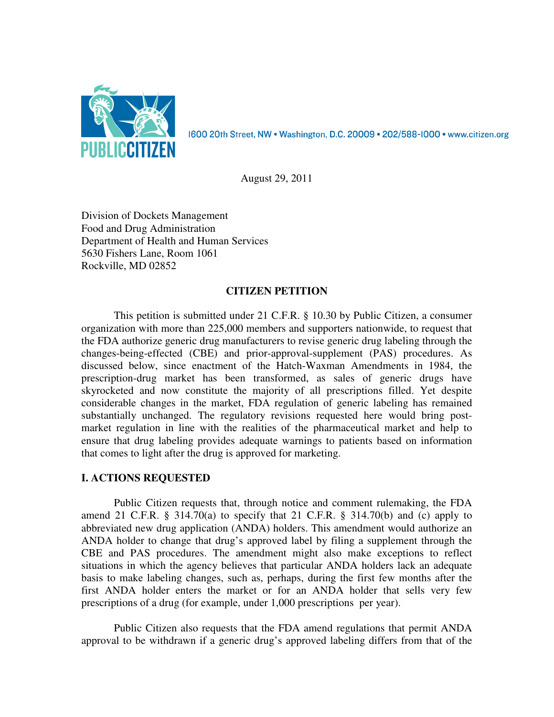

August 29, 2011

Division of Dockets Management Food and Drug Administration Department of Health and Human Services 5630 Fishers Lane, Room 1061 Rockville, MD 02852

# **CITIZEN PETITION**

 This petition is submitted under 21 C.F.R. § 10.30 by Public Citizen, a consumer organization with more than 225,000 members and supporters nationwide, to request that the FDA authorize generic drug manufacturers to revise generic drug labeling through the changes-being-effected (CBE) and prior-approval-supplement (PAS) procedures. As discussed below, since enactment of the Hatch-Waxman Amendments in 1984, the prescription-drug market has been transformed, as sales of generic drugs have skyrocketed and now constitute the majority of all prescriptions filled. Yet despite considerable changes in the market, FDA regulation of generic labeling has remained substantially unchanged. The regulatory revisions requested here would bring postmarket regulation in line with the realities of the pharmaceutical market and help to ensure that drug labeling provides adequate warnings to patients based on information that comes to light after the drug is approved for marketing.

# **I. ACTIONS REQUESTED**

 Public Citizen requests that, through notice and comment rulemaking, the FDA amend 21 C.F.R.  $\S$  314.70(a) to specify that 21 C.F.R.  $\S$  314.70(b) and (c) apply to abbreviated new drug application (ANDA) holders. This amendment would authorize an ANDA holder to change that drug's approved label by filing a supplement through the CBE and PAS procedures. The amendment might also make exceptions to reflect situations in which the agency believes that particular ANDA holders lack an adequate basis to make labeling changes, such as, perhaps, during the first few months after the first ANDA holder enters the market or for an ANDA holder that sells very few prescriptions of a drug (for example, under 1,000 prescriptions per year).

 Public Citizen also requests that the FDA amend regulations that permit ANDA approval to be withdrawn if a generic drug's approved labeling differs from that of the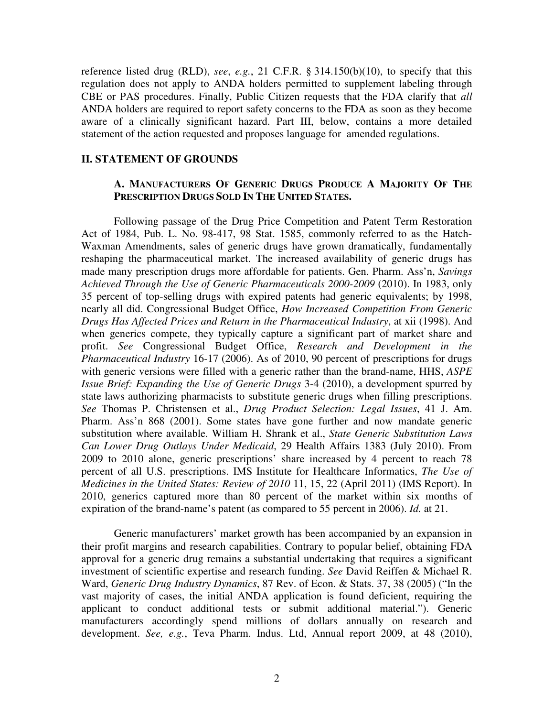reference listed drug (RLD), *see*, *e.g.*, 21 C.F.R. § 314.150(b)(10), to specify that this regulation does not apply to ANDA holders permitted to supplement labeling through CBE or PAS procedures. Finally, Public Citizen requests that the FDA clarify that *all* ANDA holders are required to report safety concerns to the FDA as soon as they become aware of a clinically significant hazard. Part III, below, contains a more detailed statement of the action requested and proposes language for amended regulations.

### **II. STATEMENT OF GROUNDS**

# **A. MANUFACTURERS OF GENERIC DRUGS PRODUCE A MAJORITY OF THE PRESCRIPTION DRUGS SOLD IN THE UNITED STATES.**

 Following passage of the Drug Price Competition and Patent Term Restoration Act of 1984, Pub. L. No. 98-417, 98 Stat. 1585, commonly referred to as the Hatch-Waxman Amendments, sales of generic drugs have grown dramatically, fundamentally reshaping the pharmaceutical market. The increased availability of generic drugs has made many prescription drugs more affordable for patients. Gen. Pharm. Ass'n, *Savings Achieved Through the Use of Generic Pharmaceuticals 2000-2009* (2010). In 1983, only 35 percent of top-selling drugs with expired patents had generic equivalents; by 1998, nearly all did. Congressional Budget Office, *How Increased Competition From Generic Drugs Has Affected Prices and Return in the Pharmaceutical Industry*, at xii (1998). And when generics compete, they typically capture a significant part of market share and profit. *See* Congressional Budget Office, *Research and Development in the Pharmaceutical Industry* 16-17 (2006). As of 2010, 90 percent of prescriptions for drugs with generic versions were filled with a generic rather than the brand-name, HHS, *ASPE Issue Brief: Expanding the Use of Generic Drugs* 3-4 (2010), a development spurred by state laws authorizing pharmacists to substitute generic drugs when filling prescriptions. *See* Thomas P. Christensen et al., *Drug Product Selection: Legal Issues*, 41 J. Am. Pharm. Ass'n 868 (2001). Some states have gone further and now mandate generic substitution where available. William H. Shrank et al., *State Generic Substitution Laws Can Lower Drug Outlays Under Medicaid*, 29 Health Affairs 1383 (July 2010). From 2009 to 2010 alone, generic prescriptions' share increased by 4 percent to reach 78 percent of all U.S. prescriptions. IMS Institute for Healthcare Informatics, *The Use of Medicines in the United States: Review of 2010* 11, 15, 22 (April 2011) (IMS Report). In 2010, generics captured more than 80 percent of the market within six months of expiration of the brand-name's patent (as compared to 55 percent in 2006). *Id.* at 21.

Generic manufacturers' market growth has been accompanied by an expansion in their profit margins and research capabilities. Contrary to popular belief, obtaining FDA approval for a generic drug remains a substantial undertaking that requires a significant investment of scientific expertise and research funding. *See* David Reiffen & Michael R. Ward, *Generic Drug Industry Dynamics*, 87 Rev. of Econ. & Stats. 37, 38 (2005) ("In the vast majority of cases, the initial ANDA application is found deficient, requiring the applicant to conduct additional tests or submit additional material."). Generic manufacturers accordingly spend millions of dollars annually on research and development. *See, e.g.*, Teva Pharm. Indus. Ltd, Annual report 2009, at 48 (2010),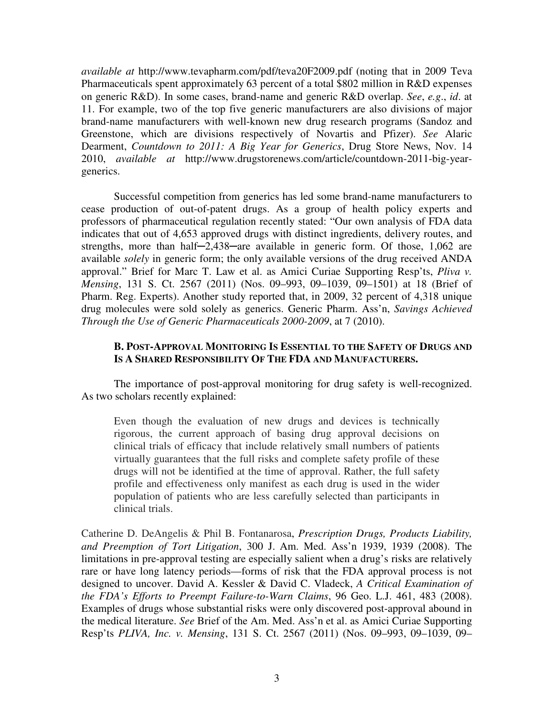*available at* http://www.tevapharm.com/pdf/teva20F2009.pdf (noting that in 2009 Teva Pharmaceuticals spent approximately 63 percent of a total \$802 million in R&D expenses on generic R&D). In some cases, brand-name and generic R&D overlap. *See*, *e.g*., *id*. at 11. For example, two of the top five generic manufacturers are also divisions of major brand-name manufacturers with well-known new drug research programs (Sandoz and Greenstone, which are divisions respectively of Novartis and Pfizer). *See* Alaric Dearment, *Countdown to 2011: A Big Year for Generics*, Drug Store News, Nov. 14 2010, *available at* http://www.drugstorenews.com/article/countdown-2011-big-yeargenerics.

Successful competition from generics has led some brand-name manufacturers to cease production of out-of-patent drugs. As a group of health policy experts and professors of pharmaceutical regulation recently stated: "Our own analysis of FDA data indicates that out of 4,653 approved drugs with distinct ingredients, delivery routes, and strengths, more than half—2,438—are available in generic form. Of those, 1,062 are available *solely* in generic form; the only available versions of the drug received ANDA approval." Brief for Marc T. Law et al. as Amici Curiae Supporting Resp'ts, *Pliva v. Mensing*, 131 S. Ct. 2567 (2011) (Nos. 09–993, 09–1039, 09–1501) at 18 (Brief of Pharm. Reg. Experts). Another study reported that, in 2009, 32 percent of 4,318 unique drug molecules were sold solely as generics. Generic Pharm. Ass'n, *Savings Achieved Through the Use of Generic Pharmaceuticals 2000-2009*, at 7 (2010).

## **B. POST-APPROVAL MONITORING IS ESSENTIAL TO THE SAFETY OF DRUGS AND IS A SHARED RESPONSIBILITY OF THE FDA AND MANUFACTURERS.**

 The importance of post-approval monitoring for drug safety is well-recognized. As two scholars recently explained:

Even though the evaluation of new drugs and devices is technically rigorous, the current approach of basing drug approval decisions on clinical trials of efficacy that include relatively small numbers of patients virtually guarantees that the full risks and complete safety profile of these drugs will not be identified at the time of approval. Rather, the full safety profile and effectiveness only manifest as each drug is used in the wider population of patients who are less carefully selected than participants in clinical trials.

Catherine D. DeAngelis & Phil B. Fontanarosa, *Prescription Drugs, Products Liability, and Preemption of Tort Litigation*, 300 J. Am. Med. Ass'n 1939, 1939 (2008). The limitations in pre-approval testing are especially salient when a drug's risks are relatively rare or have long latency periods—forms of risk that the FDA approval process is not designed to uncover. David A. Kessler & David C. Vladeck, *A Critical Examination of the FDA's Efforts to Preempt Failure-to-Warn Claims*, 96 Geo. L.J. 461, 483 (2008). Examples of drugs whose substantial risks were only discovered post-approval abound in the medical literature. *See* Brief of the Am. Med. Ass'n et al. as Amici Curiae Supporting Resp'ts *PLIVA, Inc. v. Mensing*, 131 S. Ct. 2567 (2011) (Nos. 09–993, 09–1039, 09–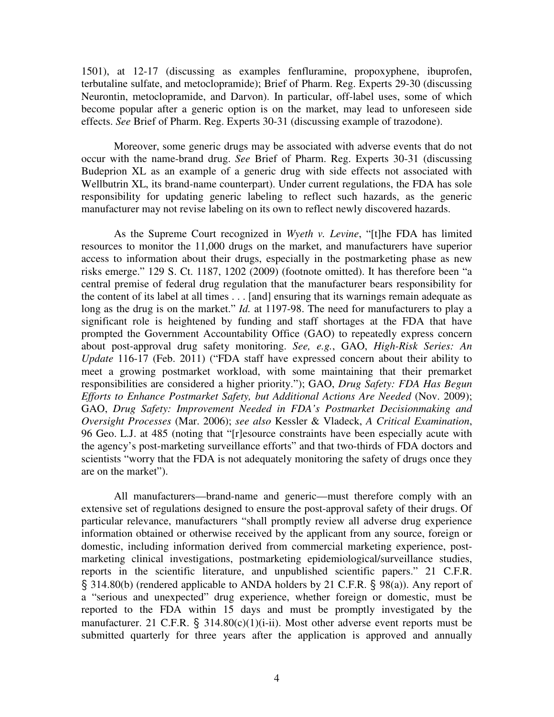1501), at 12-17 (discussing as examples fenfluramine, propoxyphene, ibuprofen, terbutaline sulfate, and metoclopramide); Brief of Pharm. Reg. Experts 29-30 (discussing Neurontin, metoclopramide, and Darvon). In particular, off-label uses, some of which become popular after a generic option is on the market, may lead to unforeseen side effects. *See* Brief of Pharm. Reg. Experts 30-31 (discussing example of trazodone).

 Moreover, some generic drugs may be associated with adverse events that do not occur with the name-brand drug. *See* Brief of Pharm. Reg. Experts 30-31 (discussing Budeprion XL as an example of a generic drug with side effects not associated with Wellbutrin XL, its brand-name counterpart). Under current regulations, the FDA has sole responsibility for updating generic labeling to reflect such hazards, as the generic manufacturer may not revise labeling on its own to reflect newly discovered hazards.

 As the Supreme Court recognized in *Wyeth v. Levine*, "[t]he FDA has limited resources to monitor the 11,000 drugs on the market, and manufacturers have superior access to information about their drugs, especially in the postmarketing phase as new risks emerge." 129 S. Ct. 1187, 1202 (2009) (footnote omitted). It has therefore been "a central premise of federal drug regulation that the manufacturer bears responsibility for the content of its label at all times . . . [and] ensuring that its warnings remain adequate as long as the drug is on the market." *Id.* at 1197-98. The need for manufacturers to play a significant role is heightened by funding and staff shortages at the FDA that have prompted the Government Accountability Office (GAO) to repeatedly express concern about post-approval drug safety monitoring. *See, e.g.*, GAO, *High-Risk Series: An Update* 116-17 (Feb. 2011) ("FDA staff have expressed concern about their ability to meet a growing postmarket workload, with some maintaining that their premarket responsibilities are considered a higher priority."); GAO, *Drug Safety: FDA Has Begun Efforts to Enhance Postmarket Safety, but Additional Actions Are Needed* (Nov. 2009); GAO, *Drug Safety: Improvement Needed in FDA's Postmarket Decisionmaking and Oversight Processes* (Mar. 2006); *see also* Kessler & Vladeck, *A Critical Examination*, 96 Geo. L.J. at 485 (noting that "[r]esource constraints have been especially acute with the agency's post-marketing surveillance efforts" and that two-thirds of FDA doctors and scientists "worry that the FDA is not adequately monitoring the safety of drugs once they are on the market").

 All manufacturers—brand-name and generic—must therefore comply with an extensive set of regulations designed to ensure the post-approval safety of their drugs. Of particular relevance, manufacturers "shall promptly review all adverse drug experience information obtained or otherwise received by the applicant from any source, foreign or domestic, including information derived from commercial marketing experience, postmarketing clinical investigations, postmarketing epidemiological/surveillance studies, reports in the scientific literature, and unpublished scientific papers." 21 C.F.R. § 314.80(b) (rendered applicable to ANDA holders by 21 C.F.R. § 98(a)). Any report of a "serious and unexpected" drug experience, whether foreign or domestic, must be reported to the FDA within 15 days and must be promptly investigated by the manufacturer. 21 C.F.R.  $\S$  314.80(c)(1)(i-ii). Most other adverse event reports must be submitted quarterly for three years after the application is approved and annually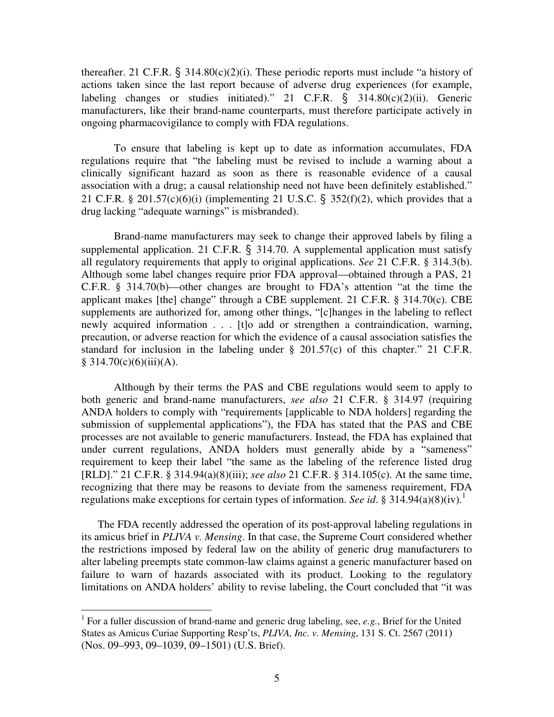thereafter. 21 C.F.R.  $\S$  314.80(c)(2)(i). These periodic reports must include "a history of actions taken since the last report because of adverse drug experiences (for example, labeling changes or studies initiated)." 21 C.F.R.  $\S$  314.80(c)(2)(ii). Generic manufacturers, like their brand-name counterparts, must therefore participate actively in ongoing pharmacovigilance to comply with FDA regulations.

 To ensure that labeling is kept up to date as information accumulates, FDA regulations require that "the labeling must be revised to include a warning about a clinically significant hazard as soon as there is reasonable evidence of a causal association with a drug; a causal relationship need not have been definitely established." 21 C.F.R. § 201.57(c)(6)(i) (implementing 21 U.S.C. § 352(f)(2), which provides that a drug lacking "adequate warnings" is misbranded).

 Brand-name manufacturers may seek to change their approved labels by filing a supplemental application. 21 C.F.R.  $\S$  314.70. A supplemental application must satisfy all regulatory requirements that apply to original applications. *See* 21 C.F.R. § 314.3(b). Although some label changes require prior FDA approval—obtained through a PAS, 21 C.F.R. § 314.70(b)—other changes are brought to FDA's attention "at the time the applicant makes [the] change" through a CBE supplement. 21 C.F.R. § 314.70(c). CBE supplements are authorized for, among other things, "[c]hanges in the labeling to reflect newly acquired information . . . [t]o add or strengthen a contraindication, warning, precaution, or adverse reaction for which the evidence of a causal association satisfies the standard for inclusion in the labeling under § 201.57(c) of this chapter." 21 C.F.R.  $§ 314.70(c)(6)(iii)(A).$ 

 Although by their terms the PAS and CBE regulations would seem to apply to both generic and brand-name manufacturers, *see also* 21 C.F.R. § 314.97 (requiring ANDA holders to comply with "requirements [applicable to NDA holders] regarding the submission of supplemental applications"), the FDA has stated that the PAS and CBE processes are not available to generic manufacturers. Instead, the FDA has explained that under current regulations, ANDA holders must generally abide by a "sameness" requirement to keep their label "the same as the labeling of the reference listed drug [RLD]." 21 C.F.R. § 314.94(a)(8)(iii); *see also* 21 C.F.R. § 314.105(c). At the same time, recognizing that there may be reasons to deviate from the sameness requirement, FDA regulations make exceptions for certain types of information. *See id.* § 314.94(a)(8)(iv).<sup>1</sup>

The FDA recently addressed the operation of its post-approval labeling regulations in its amicus brief in *PLIVA v. Mensing*. In that case, the Supreme Court considered whether the restrictions imposed by federal law on the ability of generic drug manufacturers to alter labeling preempts state common-law claims against a generic manufacturer based on failure to warn of hazards associated with its product. Looking to the regulatory limitations on ANDA holders' ability to revise labeling, the Court concluded that "it was

 $\overline{a}$ 

<sup>&</sup>lt;sup>1</sup> For a fuller discussion of brand-name and generic drug labeling, see, e.g., Brief for the United States as Amicus Curiae Supporting Resp'ts, *PLIVA, Inc. v. Mensing*, 131 S. Ct. 2567 (2011) (Nos. 09–993, 09–1039, 09–1501) (U.S. Brief).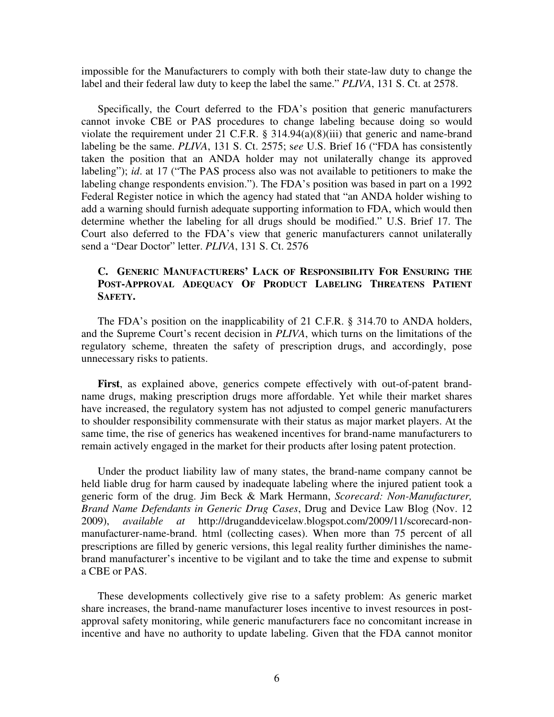impossible for the Manufacturers to comply with both their state-law duty to change the label and their federal law duty to keep the label the same." *PLIVA*, 131 S. Ct. at 2578.

Specifically, the Court deferred to the FDA's position that generic manufacturers cannot invoke CBE or PAS procedures to change labeling because doing so would violate the requirement under 21 C.F.R. § 314.94(a)(8)(iii) that generic and name-brand labeling be the same. *PLIVA*, 131 S. Ct. 2575; s*ee* U.S. Brief 16 ("FDA has consistently taken the position that an ANDA holder may not unilaterally change its approved labeling"); *id*. at 17 ("The PAS process also was not available to petitioners to make the labeling change respondents envision."). The FDA's position was based in part on a 1992 Federal Register notice in which the agency had stated that "an ANDA holder wishing to add a warning should furnish adequate supporting information to FDA, which would then determine whether the labeling for all drugs should be modified." U.S. Brief 17. The Court also deferred to the FDA's view that generic manufacturers cannot unilaterally send a "Dear Doctor" letter. *PLIVA*, 131 S. Ct. 2576

# **C. GENERIC MANUFACTURERS' LACK OF RESPONSIBILITY FOR ENSURING THE POST-APPROVAL ADEQUACY OF PRODUCT LABELING THREATENS PATIENT SAFETY.**

The FDA's position on the inapplicability of 21 C.F.R. § 314.70 to ANDA holders, and the Supreme Court's recent decision in *PLIVA*, which turns on the limitations of the regulatory scheme, threaten the safety of prescription drugs, and accordingly, pose unnecessary risks to patients.

**First**, as explained above, generics compete effectively with out-of-patent brandname drugs, making prescription drugs more affordable. Yet while their market shares have increased, the regulatory system has not adjusted to compel generic manufacturers to shoulder responsibility commensurate with their status as major market players. At the same time, the rise of generics has weakened incentives for brand-name manufacturers to remain actively engaged in the market for their products after losing patent protection.

Under the product liability law of many states, the brand-name company cannot be held liable drug for harm caused by inadequate labeling where the injured patient took a generic form of the drug. Jim Beck & Mark Hermann, *Scorecard: Non-Manufacturer, Brand Name Defendants in Generic Drug Cases*, Drug and Device Law Blog (Nov. 12 2009), *available at* http://druganddevicelaw.blogspot.com/2009/11/scorecard-nonmanufacturer-name-brand. html (collecting cases). When more than 75 percent of all prescriptions are filled by generic versions, this legal reality further diminishes the namebrand manufacturer's incentive to be vigilant and to take the time and expense to submit a CBE or PAS.

These developments collectively give rise to a safety problem: As generic market share increases, the brand-name manufacturer loses incentive to invest resources in postapproval safety monitoring, while generic manufacturers face no concomitant increase in incentive and have no authority to update labeling. Given that the FDA cannot monitor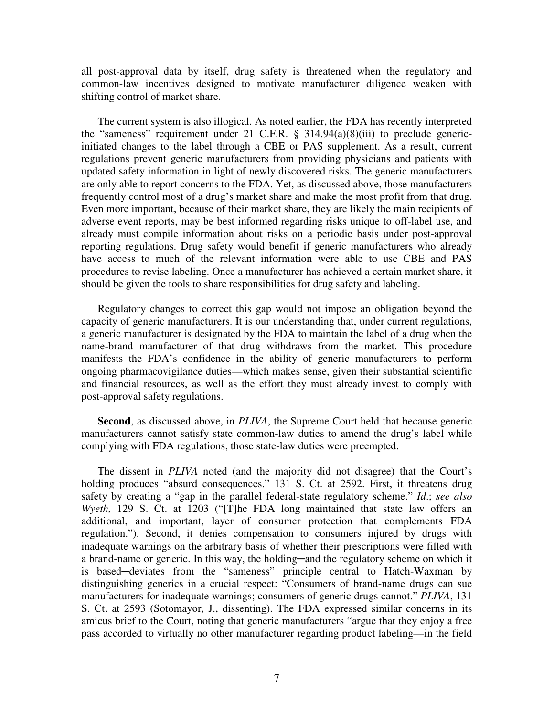all post-approval data by itself, drug safety is threatened when the regulatory and common-law incentives designed to motivate manufacturer diligence weaken with shifting control of market share.

The current system is also illogical. As noted earlier, the FDA has recently interpreted the "sameness" requirement under 21 C.F.R. § 314.94(a)(8)(iii) to preclude genericinitiated changes to the label through a CBE or PAS supplement. As a result, current regulations prevent generic manufacturers from providing physicians and patients with updated safety information in light of newly discovered risks. The generic manufacturers are only able to report concerns to the FDA. Yet, as discussed above, those manufacturers frequently control most of a drug's market share and make the most profit from that drug. Even more important, because of their market share, they are likely the main recipients of adverse event reports, may be best informed regarding risks unique to off-label use, and already must compile information about risks on a periodic basis under post-approval reporting regulations. Drug safety would benefit if generic manufacturers who already have access to much of the relevant information were able to use CBE and PAS procedures to revise labeling. Once a manufacturer has achieved a certain market share, it should be given the tools to share responsibilities for drug safety and labeling.

Regulatory changes to correct this gap would not impose an obligation beyond the capacity of generic manufacturers. It is our understanding that, under current regulations, a generic manufacturer is designated by the FDA to maintain the label of a drug when the name-brand manufacturer of that drug withdraws from the market. This procedure manifests the FDA's confidence in the ability of generic manufacturers to perform ongoing pharmacovigilance duties—which makes sense, given their substantial scientific and financial resources, as well as the effort they must already invest to comply with post-approval safety regulations.

**Second**, as discussed above, in *PLIVA*, the Supreme Court held that because generic manufacturers cannot satisfy state common-law duties to amend the drug's label while complying with FDA regulations, those state-law duties were preempted.

The dissent in *PLIVA* noted (and the majority did not disagree) that the Court's holding produces "absurd consequences." 131 S. Ct. at 2592. First, it threatens drug safety by creating a "gap in the parallel federal-state regulatory scheme." *Id*.; *see also Wyeth,* 129 S. Ct. at 1203 ("[T]he FDA long maintained that state law offers an additional, and important, layer of consumer protection that complements FDA regulation."). Second, it denies compensation to consumers injured by drugs with inadequate warnings on the arbitrary basis of whether their prescriptions were filled with a brand-name or generic. In this way, the holding—and the regulatory scheme on which it is based─deviates from the "sameness" principle central to Hatch-Waxman by distinguishing generics in a crucial respect: "Consumers of brand-name drugs can sue manufacturers for inadequate warnings; consumers of generic drugs cannot." *PLIVA*, 131 S. Ct. at 2593 (Sotomayor, J., dissenting). The FDA expressed similar concerns in its amicus brief to the Court, noting that generic manufacturers "argue that they enjoy a free pass accorded to virtually no other manufacturer regarding product labeling—in the field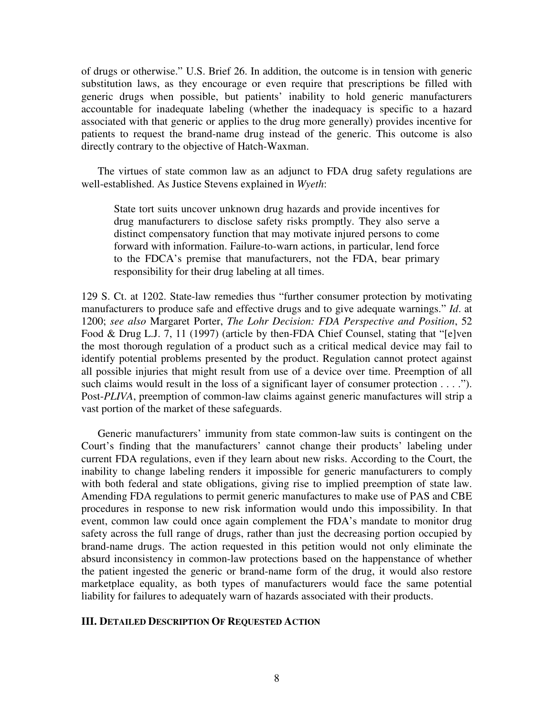of drugs or otherwise." U.S. Brief 26. In addition, the outcome is in tension with generic substitution laws, as they encourage or even require that prescriptions be filled with generic drugs when possible, but patients' inability to hold generic manufacturers accountable for inadequate labeling (whether the inadequacy is specific to a hazard associated with that generic or applies to the drug more generally) provides incentive for patients to request the brand-name drug instead of the generic. This outcome is also directly contrary to the objective of Hatch-Waxman.

The virtues of state common law as an adjunct to FDA drug safety regulations are well-established. As Justice Stevens explained in *Wyeth*:

State tort suits uncover unknown drug hazards and provide incentives for drug manufacturers to disclose safety risks promptly. They also serve a distinct compensatory function that may motivate injured persons to come forward with information. Failure-to-warn actions, in particular, lend force to the FDCA's premise that manufacturers, not the FDA, bear primary responsibility for their drug labeling at all times.

129 S. Ct. at 1202. State-law remedies thus "further consumer protection by motivating manufacturers to produce safe and effective drugs and to give adequate warnings." *Id*. at 1200; *see also* Margaret Porter, *The Lohr Decision: FDA Perspective and Position*, 52 Food & Drug L.J. 7, 11 (1997) (article by then-FDA Chief Counsel, stating that "[e]ven the most thorough regulation of a product such as a critical medical device may fail to identify potential problems presented by the product. Regulation cannot protect against all possible injuries that might result from use of a device over time. Preemption of all such claims would result in the loss of a significant layer of consumer protection  $\dots$ . Post-*PLIVA*, preemption of common-law claims against generic manufactures will strip a vast portion of the market of these safeguards.

Generic manufacturers' immunity from state common-law suits is contingent on the Court's finding that the manufacturers' cannot change their products' labeling under current FDA regulations, even if they learn about new risks. According to the Court, the inability to change labeling renders it impossible for generic manufacturers to comply with both federal and state obligations, giving rise to implied preemption of state law. Amending FDA regulations to permit generic manufactures to make use of PAS and CBE procedures in response to new risk information would undo this impossibility. In that event, common law could once again complement the FDA's mandate to monitor drug safety across the full range of drugs, rather than just the decreasing portion occupied by brand-name drugs. The action requested in this petition would not only eliminate the absurd inconsistency in common-law protections based on the happenstance of whether the patient ingested the generic or brand-name form of the drug, it would also restore marketplace equality, as both types of manufacturers would face the same potential liability for failures to adequately warn of hazards associated with their products.

#### **III. DETAILED DESCRIPTION OF REQUESTED ACTION**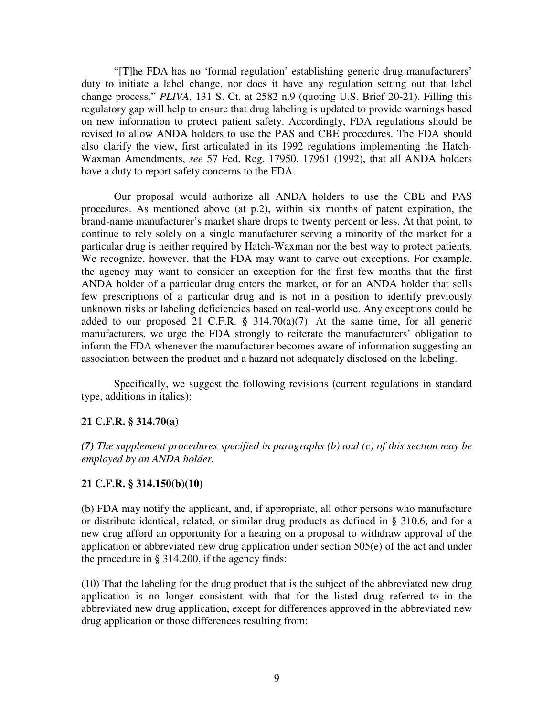"[T]he FDA has no 'formal regulation' establishing generic drug manufacturers' duty to initiate a label change, nor does it have any regulation setting out that label change process." *PLIVA*, 131 S. Ct. at 2582 n.9 (quoting U.S. Brief 20-21). Filling this regulatory gap will help to ensure that drug labeling is updated to provide warnings based on new information to protect patient safety. Accordingly, FDA regulations should be revised to allow ANDA holders to use the PAS and CBE procedures. The FDA should also clarify the view, first articulated in its 1992 regulations implementing the Hatch-Waxman Amendments, *see* 57 Fed. Reg. 17950, 17961 (1992), that all ANDA holders have a duty to report safety concerns to the FDA.

 Our proposal would authorize all ANDA holders to use the CBE and PAS procedures. As mentioned above (at p.2), within six months of patent expiration, the brand-name manufacturer's market share drops to twenty percent or less. At that point, to continue to rely solely on a single manufacturer serving a minority of the market for a particular drug is neither required by Hatch-Waxman nor the best way to protect patients. We recognize, however, that the FDA may want to carve out exceptions. For example, the agency may want to consider an exception for the first few months that the first ANDA holder of a particular drug enters the market, or for an ANDA holder that sells few prescriptions of a particular drug and is not in a position to identify previously unknown risks or labeling deficiencies based on real-world use. Any exceptions could be added to our proposed 21 C.F.R. **§** 314.70(a)(7). At the same time, for all generic manufacturers, we urge the FDA strongly to reiterate the manufacturers' obligation to inform the FDA whenever the manufacturer becomes aware of information suggesting an association between the product and a hazard not adequately disclosed on the labeling.

 Specifically, we suggest the following revisions (current regulations in standard type, additions in italics):

## **21 C.F.R. § 314.70(a)**

*(7) The supplement procedures specified in paragraphs (b) and (c) of this section may be employed by an ANDA holder.* 

## **21 C.F.R. § 314.150(b)(10)**

(b) FDA may notify the applicant, and, if appropriate, all other persons who manufacture or distribute identical, related, or similar drug products as defined in § 310.6, and for a new drug afford an opportunity for a hearing on a proposal to withdraw approval of the application or abbreviated new drug application under section 505(e) of the act and under the procedure in § 314.200, if the agency finds:

(10) That the labeling for the drug product that is the subject of the abbreviated new drug application is no longer consistent with that for the listed drug referred to in the abbreviated new drug application, except for differences approved in the abbreviated new drug application or those differences resulting from: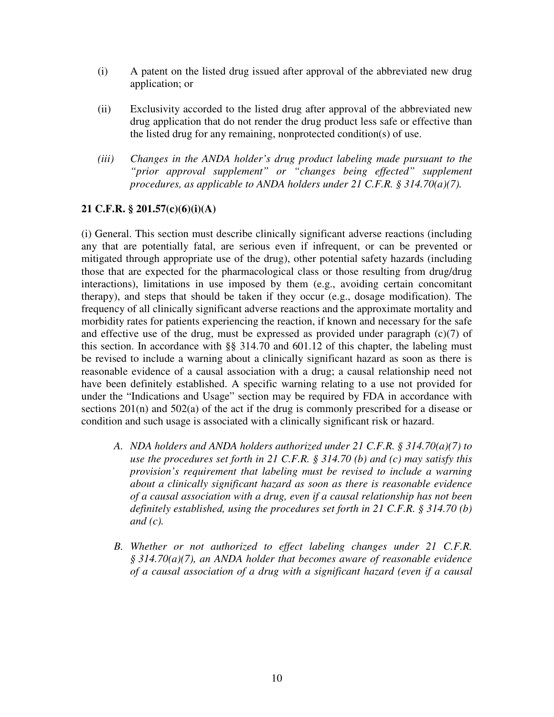- (i) A patent on the listed drug issued after approval of the abbreviated new drug application; or
- (ii) Exclusivity accorded to the listed drug after approval of the abbreviated new drug application that do not render the drug product less safe or effective than the listed drug for any remaining, nonprotected condition(s) of use.
- *(iii) Changes in the ANDA holder's drug product labeling made pursuant to the "prior approval supplement" or "changes being effected" supplement procedures, as applicable to ANDA holders under 21 C.F.R. § 314.70(a)(7).*

# **21 C.F.R. § 201.57(c)(6)(i)(A)**

(i) General. This section must describe clinically significant adverse reactions (including any that are potentially fatal, are serious even if infrequent, or can be prevented or mitigated through appropriate use of the drug), other potential safety hazards (including those that are expected for the pharmacological class or those resulting from drug/drug interactions), limitations in use imposed by them (e.g., avoiding certain concomitant therapy), and steps that should be taken if they occur (e.g., dosage modification). The frequency of all clinically significant adverse reactions and the approximate mortality and morbidity rates for patients experiencing the reaction, if known and necessary for the safe and effective use of the drug, must be expressed as provided under paragraph  $(c)(7)$  of this section. In accordance with §§ 314.70 and 601.12 of this chapter, the labeling must be revised to include a warning about a clinically significant hazard as soon as there is reasonable evidence of a causal association with a drug; a causal relationship need not have been definitely established. A specific warning relating to a use not provided for under the "Indications and Usage" section may be required by FDA in accordance with sections 201(n) and 502(a) of the act if the drug is commonly prescribed for a disease or condition and such usage is associated with a clinically significant risk or hazard.

- *A. NDA holders and ANDA holders authorized under 21 C.F.R. § 314.70(a)(7) to use the procedures set forth in 21 C.F.R. § 314.70 (b) and (c) may satisfy this provision's requirement that labeling must be revised to include a warning about a clinically significant hazard as soon as there is reasonable evidence of a causal association with a drug, even if a causal relationship has not been definitely established, using the procedures set forth in 21 C.F.R. § 314.70 (b) and (c).*
- *B. Whether or not authorized to effect labeling changes under 21 C.F.R. § 314.70(a)(7), an ANDA holder that becomes aware of reasonable evidence of a causal association of a drug with a significant hazard (even if a causal*